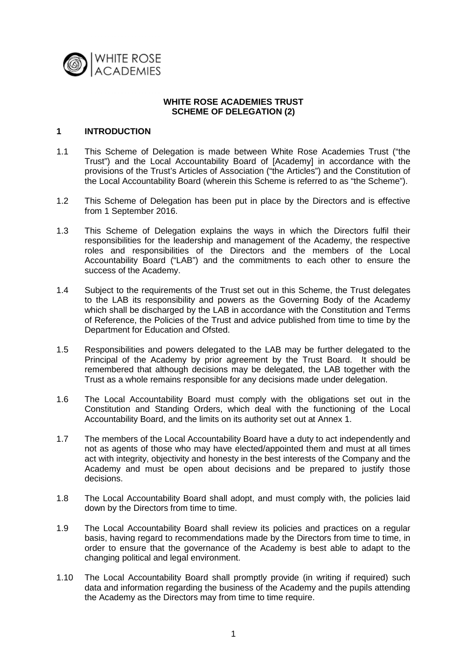

#### **WHITE ROSE ACADEMIES TRUST SCHEME OF DELEGATION (2)**

#### **1 INTRODUCTION**

- 1.1 This Scheme of Delegation is made between White Rose Academies Trust ("the Trust") and the Local Accountability Board of [Academy] in accordance with the provisions of the Trust's Articles of Association ("the Articles") and the Constitution of the Local Accountability Board (wherein this Scheme is referred to as "the Scheme").
- 1.2 This Scheme of Delegation has been put in place by the Directors and is effective from 1 September 2016.
- 1.3 This Scheme of Delegation explains the ways in which the Directors fulfil their responsibilities for the leadership and management of the Academy, the respective roles and responsibilities of the Directors and the members of the Local Accountability Board ("LAB") and the commitments to each other to ensure the success of the Academy.
- 1.4 Subject to the requirements of the Trust set out in this Scheme, the Trust delegates to the LAB its responsibility and powers as the Governing Body of the Academy which shall be discharged by the LAB in accordance with the Constitution and Terms of Reference, the Policies of the Trust and advice published from time to time by the Department for Education and Ofsted.
- 1.5 Responsibilities and powers delegated to the LAB may be further delegated to the Principal of the Academy by prior agreement by the Trust Board. It should be remembered that although decisions may be delegated, the LAB together with the Trust as a whole remains responsible for any decisions made under delegation.
- 1.6 The Local Accountability Board must comply with the obligations set out in the Constitution and Standing Orders, which deal with the functioning of the Local Accountability Board, and the limits on its authority set out at Annex 1.
- 1.7 The members of the Local Accountability Board have a duty to act independently and not as agents of those who may have elected/appointed them and must at all times act with integrity, objectivity and honesty in the best interests of the Company and the Academy and must be open about decisions and be prepared to justify those decisions.
- 1.8 The Local Accountability Board shall adopt, and must comply with, the policies laid down by the Directors from time to time.
- 1.9 The Local Accountability Board shall review its policies and practices on a regular basis, having regard to recommendations made by the Directors from time to time, in order to ensure that the governance of the Academy is best able to adapt to the changing political and legal environment.
- 1.10 The Local Accountability Board shall promptly provide (in writing if required) such data and information regarding the business of the Academy and the pupils attending the Academy as the Directors may from time to time require.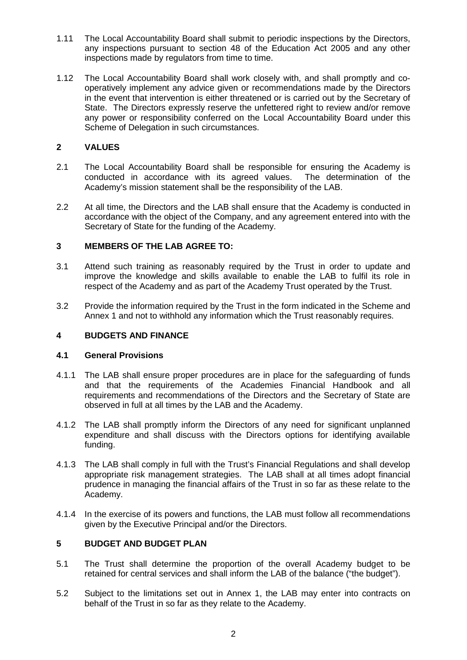- 1.11 The Local Accountability Board shall submit to periodic inspections by the Directors, any inspections pursuant to section 48 of the Education Act 2005 and any other inspections made by regulators from time to time.
- 1.12 The Local Accountability Board shall work closely with, and shall promptly and cooperatively implement any advice given or recommendations made by the Directors in the event that intervention is either threatened or is carried out by the Secretary of State. The Directors expressly reserve the unfettered right to review and/or remove any power or responsibility conferred on the Local Accountability Board under this Scheme of Delegation in such circumstances.

## **2 VALUES**

- 2.1 The Local Accountability Board shall be responsible for ensuring the Academy is conducted in accordance with its agreed values. The determination of the conducted in accordance with its agreed values. Academy's mission statement shall be the responsibility of the LAB.
- 2.2 At all time, the Directors and the LAB shall ensure that the Academy is conducted in accordance with the object of the Company, and any agreement entered into with the Secretary of State for the funding of the Academy.

## **3 MEMBERS OF THE LAB AGREE TO:**

- 3.1 Attend such training as reasonably required by the Trust in order to update and improve the knowledge and skills available to enable the LAB to fulfil its role in respect of the Academy and as part of the Academy Trust operated by the Trust.
- 3.2 Provide the information required by the Trust in the form indicated in the Scheme and Annex 1 and not to withhold any information which the Trust reasonably requires.

## **4 BUDGETS AND FINANCE**

## **4.1 General Provisions**

- 4.1.1 The LAB shall ensure proper procedures are in place for the safeguarding of funds and that the requirements of the Academies Financial Handbook and all requirements and recommendations of the Directors and the Secretary of State are observed in full at all times by the LAB and the Academy.
- 4.1.2 The LAB shall promptly inform the Directors of any need for significant unplanned expenditure and shall discuss with the Directors options for identifying available funding.
- 4.1.3 The LAB shall comply in full with the Trust's Financial Regulations and shall develop appropriate risk management strategies. The LAB shall at all times adopt financial prudence in managing the financial affairs of the Trust in so far as these relate to the Academy.
- 4.1.4 In the exercise of its powers and functions, the LAB must follow all recommendations given by the Executive Principal and/or the Directors.

## **5 BUDGET AND BUDGET PLAN**

- 5.1 The Trust shall determine the proportion of the overall Academy budget to be retained for central services and shall inform the LAB of the balance ("the budget").
- 5.2 Subject to the limitations set out in Annex 1, the LAB may enter into contracts on behalf of the Trust in so far as they relate to the Academy.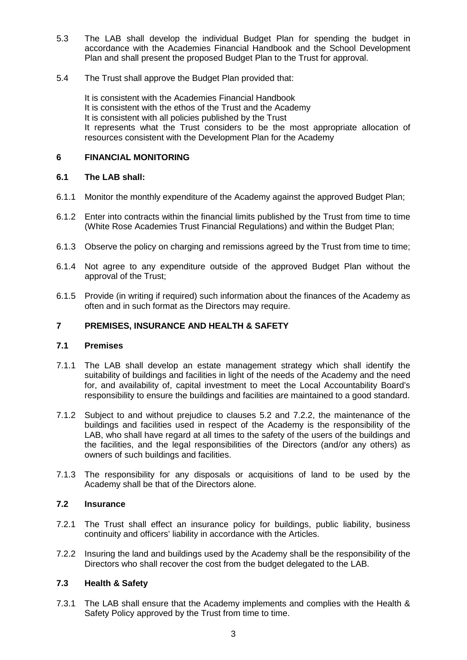- 5.3 The LAB shall develop the individual Budget Plan for spending the budget in accordance with the Academies Financial Handbook and the School Development Plan and shall present the proposed Budget Plan to the Trust for approval.
- 5.4 The Trust shall approve the Budget Plan provided that:

It is consistent with the Academies Financial Handbook It is consistent with the ethos of the Trust and the Academy It is consistent with all policies published by the Trust It represents what the Trust considers to be the most appropriate allocation of resources consistent with the Development Plan for the Academy

## **6 FINANCIAL MONITORING**

## **6.1 The LAB shall:**

- 6.1.1 Monitor the monthly expenditure of the Academy against the approved Budget Plan;
- 6.1.2 Enter into contracts within the financial limits published by the Trust from time to time (White Rose Academies Trust Financial Regulations) and within the Budget Plan;
- 6.1.3 Observe the policy on charging and remissions agreed by the Trust from time to time;
- 6.1.4 Not agree to any expenditure outside of the approved Budget Plan without the approval of the Trust;
- 6.1.5 Provide (in writing if required) such information about the finances of the Academy as often and in such format as the Directors may require.

# **7 PREMISES, INSURANCE AND HEALTH & SAFETY**

## **7.1 Premises**

- 7.1.1 The LAB shall develop an estate management strategy which shall identify the suitability of buildings and facilities in light of the needs of the Academy and the need for, and availability of, capital investment to meet the Local Accountability Board's responsibility to ensure the buildings and facilities are maintained to a good standard.
- 7.1.2 Subject to and without prejudice to clauses 5.2 and 7.2.2, the maintenance of the buildings and facilities used in respect of the Academy is the responsibility of the LAB, who shall have regard at all times to the safety of the users of the buildings and the facilities, and the legal responsibilities of the Directors (and/or any others) as owners of such buildings and facilities.
- 7.1.3 The responsibility for any disposals or acquisitions of land to be used by the Academy shall be that of the Directors alone.

## **7.2 Insurance**

- 7.2.1 The Trust shall effect an insurance policy for buildings, public liability, business continuity and officers' liability in accordance with the Articles.
- 7.2.2 Insuring the land and buildings used by the Academy shall be the responsibility of the Directors who shall recover the cost from the budget delegated to the LAB.

# **7.3 Health & Safety**

7.3.1 The LAB shall ensure that the Academy implements and complies with the Health & Safety Policy approved by the Trust from time to time.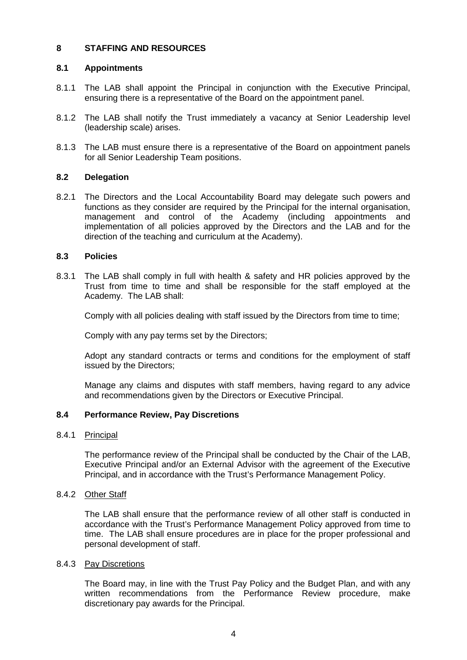## **8 STAFFING AND RESOURCES**

## **8.1 Appointments**

- 8.1.1 The LAB shall appoint the Principal in conjunction with the Executive Principal, ensuring there is a representative of the Board on the appointment panel.
- 8.1.2 The LAB shall notify the Trust immediately a vacancy at Senior Leadership level (leadership scale) arises.
- 8.1.3 The LAB must ensure there is a representative of the Board on appointment panels for all Senior Leadership Team positions.

## **8.2 Delegation**

8.2.1 The Directors and the Local Accountability Board may delegate such powers and functions as they consider are required by the Principal for the internal organisation, management and control of the Academy (including appointments and implementation of all policies approved by the Directors and the LAB and for the direction of the teaching and curriculum at the Academy).

#### **8.3 Policies**

8.3.1 The LAB shall comply in full with health & safety and HR policies approved by the Trust from time to time and shall be responsible for the staff employed at the Academy. The LAB shall:

Comply with all policies dealing with staff issued by the Directors from time to time;

Comply with any pay terms set by the Directors;

Adopt any standard contracts or terms and conditions for the employment of staff issued by the Directors;

Manage any claims and disputes with staff members, having regard to any advice and recommendations given by the Directors or Executive Principal.

## **8.4 Performance Review, Pay Discretions**

## 8.4.1 Principal

The performance review of the Principal shall be conducted by the Chair of the LAB, Executive Principal and/or an External Advisor with the agreement of the Executive Principal, and in accordance with the Trust's Performance Management Policy.

#### 8.4.2 Other Staff

The LAB shall ensure that the performance review of all other staff is conducted in accordance with the Trust's Performance Management Policy approved from time to time. The LAB shall ensure procedures are in place for the proper professional and personal development of staff.

#### 8.4.3 Pay Discretions

The Board may, in line with the Trust Pay Policy and the Budget Plan, and with any written recommendations from the Performance Review procedure, make discretionary pay awards for the Principal.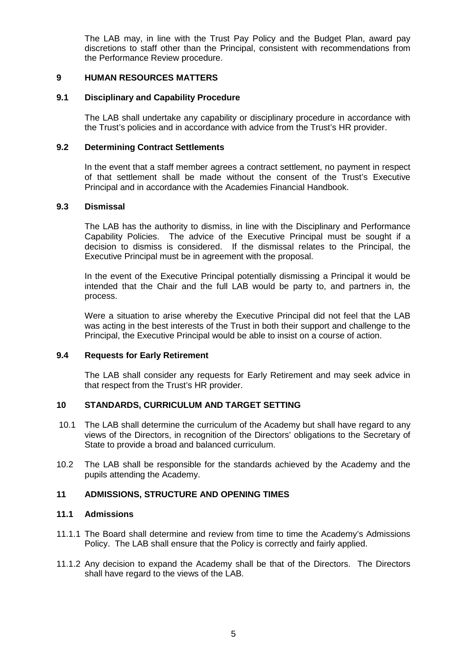The LAB may, in line with the Trust Pay Policy and the Budget Plan, award pay discretions to staff other than the Principal, consistent with recommendations from the Performance Review procedure.

#### **9 HUMAN RESOURCES MATTERS**

#### **9.1 Disciplinary and Capability Procedure**

The LAB shall undertake any capability or disciplinary procedure in accordance with the Trust's policies and in accordance with advice from the Trust's HR provider.

#### **9.2 Determining Contract Settlements**

In the event that a staff member agrees a contract settlement, no payment in respect of that settlement shall be made without the consent of the Trust's Executive Principal and in accordance with the Academies Financial Handbook.

#### **9.3 Dismissal**

The LAB has the authority to dismiss, in line with the Disciplinary and Performance Capability Policies. The advice of the Executive Principal must be sought if a decision to dismiss is considered. If the dismissal relates to the Principal, the Executive Principal must be in agreement with the proposal.

In the event of the Executive Principal potentially dismissing a Principal it would be intended that the Chair and the full LAB would be party to, and partners in, the process.

Were a situation to arise whereby the Executive Principal did not feel that the LAB was acting in the best interests of the Trust in both their support and challenge to the Principal, the Executive Principal would be able to insist on a course of action.

#### **9.4 Requests for Early Retirement**

The LAB shall consider any requests for Early Retirement and may seek advice in that respect from the Trust's HR provider.

## **10 STANDARDS, CURRICULUM AND TARGET SETTING**

- 10.1 The LAB shall determine the curriculum of the Academy but shall have regard to any views of the Directors, in recognition of the Directors' obligations to the Secretary of State to provide a broad and balanced curriculum.
- 10.2 The LAB shall be responsible for the standards achieved by the Academy and the pupils attending the Academy.

## **11 ADMISSIONS, STRUCTURE AND OPENING TIMES**

### **11.1 Admissions**

- 11.1.1 The Board shall determine and review from time to time the Academy's Admissions Policy. The LAB shall ensure that the Policy is correctly and fairly applied.
- 11.1.2 Any decision to expand the Academy shall be that of the Directors. The Directors shall have regard to the views of the LAB.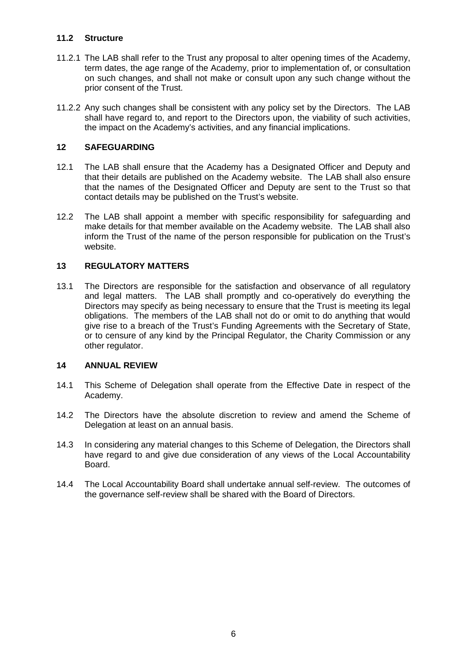## **11.2 Structure**

- 11.2.1 The LAB shall refer to the Trust any proposal to alter opening times of the Academy, term dates, the age range of the Academy, prior to implementation of, or consultation on such changes, and shall not make or consult upon any such change without the prior consent of the Trust.
- 11.2.2 Any such changes shall be consistent with any policy set by the Directors. The LAB shall have regard to, and report to the Directors upon, the viability of such activities, the impact on the Academy's activities, and any financial implications.

## **12 SAFEGUARDING**

- 12.1 The LAB shall ensure that the Academy has a Designated Officer and Deputy and that their details are published on the Academy website. The LAB shall also ensure that the names of the Designated Officer and Deputy are sent to the Trust so that contact details may be published on the Trust's website.
- 12.2 The LAB shall appoint a member with specific responsibility for safeguarding and make details for that member available on the Academy website. The LAB shall also inform the Trust of the name of the person responsible for publication on the Trust's website.

## **13 REGULATORY MATTERS**

13.1 The Directors are responsible for the satisfaction and observance of all regulatory and legal matters. The LAB shall promptly and co-operatively do everything the Directors may specify as being necessary to ensure that the Trust is meeting its legal obligations. The members of the LAB shall not do or omit to do anything that would give rise to a breach of the Trust's Funding Agreements with the Secretary of State, or to censure of any kind by the Principal Regulator, the Charity Commission or any other regulator.

## **14 ANNUAL REVIEW**

- 14.1 This Scheme of Delegation shall operate from the Effective Date in respect of the Academy.
- 14.2 The Directors have the absolute discretion to review and amend the Scheme of Delegation at least on an annual basis.
- 14.3 In considering any material changes to this Scheme of Delegation, the Directors shall have regard to and give due consideration of any views of the Local Accountability Board.
- 14.4 The Local Accountability Board shall undertake annual self-review. The outcomes of the governance self-review shall be shared with the Board of Directors.